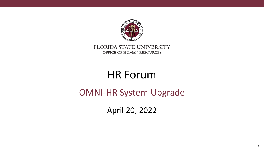

#### FLORIDA STATE UNIVERSITY OFFICE OF HUMAN RESOURCES

# HR Forum

#### OMNI-HR System Upgrade

April 20, 2022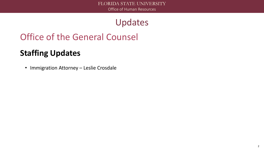Updates

# Office of the General Counsel

#### **Staffing Updates**

• Immigration Attorney – Leslie Crosdale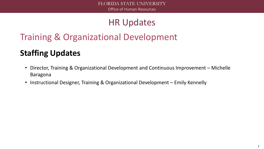# Training & Organizational Development

#### **Staffing Updates**

- Director, Training & Organizational Development and Continuous Improvement Michelle Baragona
- Instructional Designer, Training & Organizational Development Emily Kennelly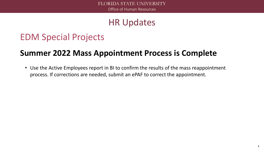#### EDM Special Projects

#### **Summer 2022 Mass Appointment Process is Complete**

• Use the Active Employees report in BI to confirm the results of the mass reappointment process. If corrections are needed, submit an ePAF to correct the appointment.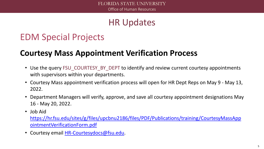# EDM Special Projects

#### **Courtesy Mass Appointment Verification Process**

- Use the query FSU COURTESY BY DEPT to identify and review current courtesy appointments with supervisors within your departments.
- Courtesy Mass appointment verification process will open for HR Dept Reps on May 9 May 13, 2022.
- Department Managers will verify, approve, and save all courtesy appointment designations May 16 - May 20, 2022.
- Job Aid

[https://hr.fsu.edu/sites/g/files/upcbnu2186/files/PDF/Publications/training/CourtesyMassApp](https://hr.fsu.edu/sites/g/files/upcbnu2186/files/PDF/Publications/training/CourtesyMassAppointmentVerificationForm.pdf) ointmentVerificationForm.pdf

• Courtesy email [HR-Courtesydocs@fsu.edu.](mailto:HR-Courtesydocs@fsu.edu)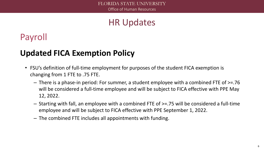# Payroll

#### **Updated FICA Exemption Policy**

- FSU's definition of full-time employment for purposes of the student FICA exemption is changing from 1 FTE to .75 FTE.
	- There is a phase-in period: For summer, a student employee with a combined FTE of >=.76 will be considered a full-time employee and will be subject to FICA effective with PPE May 12, 2022.
	- Starting with fall, an employee with a combined FTE of >=.75 will be considered a full-time employee and will be subject to FICA effective with PPE September 1, 2022.
	- The combined FTE includes all appointments with funding.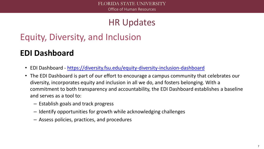# Equity, Diversity, and Inclusion

#### **EDI Dashboard**

- EDI Dashboard <https://diversity.fsu.edu/equity-diversity-inclusion-dashboard>
- The EDI Dashboard is part of our effort to encourage a campus community that celebrates our diversity, incorporates equity and inclusion in all we do, and fosters belonging. With a commitment to both transparency and accountability, the EDI Dashboard establishes a baseline and serves as a tool to:
	- Establish goals and track progress
	- Identify opportunities for growth while acknowledging challenges
	- Assess policies, practices, and procedures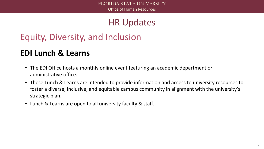# Equity, Diversity, and Inclusion

#### **EDI Lunch & Learns**

- The EDI Office hosts a monthly online event featuring an academic department or administrative office.
- These Lunch & Learns are intended to provide information and access to university resources to foster a diverse, inclusive, and equitable campus community in alignment with the university's strategic plan.
- Lunch & Learns are open to all university faculty & staff.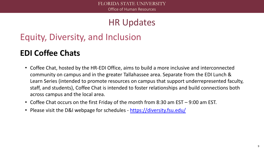# Equity, Diversity, and Inclusion

#### **EDI Coffee Chats**

- Coffee Chat, hosted by the HR-EDI Office, aims to build a more inclusive and interconnected community on campus and in the greater Tallahassee area. Separate from the EDI Lunch & Learn Series (intended to promote resources on campus that support underrepresented faculty, staff, and students), Coffee Chat is intended to foster relationships and build connections both across campus and the local area.
- Coffee Chat occurs on the first Friday of the month from 8:30 am EST 9:00 am EST.
- Please visit the D&I webpage for schedules <https://diversity.fsu.edu/>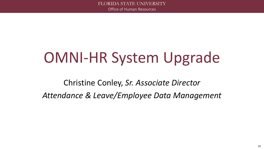# OMNI-HR System Upgrade

Christine Conley, *Sr. Associate Director Attendance & Leave/Employee Data Management*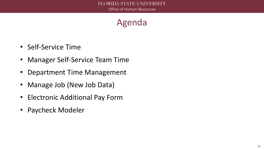#### Agenda

- Self-Service Time
- Manager Self-Service Team Time
- Department Time Management
- Manage Job (New Job Data)
- Electronic Additional Pay Form
- Paycheck Modeler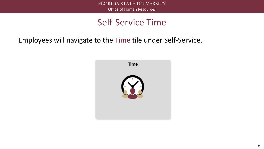#### Self-Service Time

Employees will navigate to the Time tile under Self-Service.

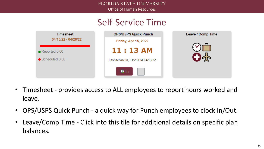FLORIDA STATE UNIVERSITY Office of Human Resources

#### Self-Service Time



- Timesheet provides access to ALL employees to report hours worked and leave.
- OPS/USPS Quick Punch a quick way for Punch employees to clock In/Out.
- Leave/Comp Time Click into this tile for additional details on specific plan balances.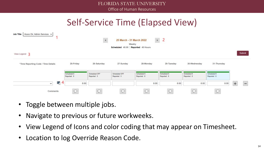#### Self-Service Time (Elapsed View)



- Toggle between multiple jobs.
- Navigate to previous or future workweeks.
- View Legend of Icons and color coding that may appear on Timesheet.
- Location to log Override Reason Code.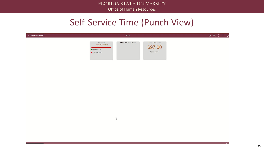#### Self-Service Time (Punch View)

| < Employee Self Service |                                                                     | <b>Time</b>          |                                           | A Q A |
|-------------------------|---------------------------------------------------------------------|----------------------|-------------------------------------------|-------|
|                         | Timesheet<br>04/01/22 - 04/14/22<br>Reported 0.00<br>Scheduled 0.00 | OPS/USPS Quick Punch | Leave / Comp Time<br><b>Balance Hours</b> |       |

 $\mathbb{Z}$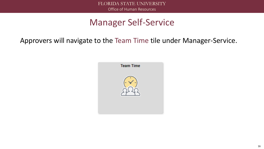Approvers will navigate to the Team Time tile under Manager-Service.

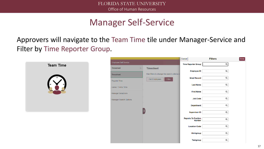Approvers will navigate to the Team Time tile under Manager-Service and Filter by Time Reporter Group.



|                                        |                                              | Cancel |                                             | <b>Filters</b> | Done |
|----------------------------------------|----------------------------------------------|--------|---------------------------------------------|----------------|------|
| Employee Self Service                  |                                              |        | Time Reporter Group                         | $\mathsf Q$    |      |
| <b>Timesheet</b><br>$\curvearrowright$ | <b>Timesheet</b>                             |        | <b>Employee ID</b>                          | $\mathsf Q$    |      |
| <b>Timesheet</b>                       | Use filters to change the search criteria or |        |                                             |                |      |
| Payable Time                           | Get Employees<br><b>Filter</b>               |        | <b>Empl Record</b>                          | $\mathsf Q$    |      |
| Leave / Comp Time                      |                                              |        | <b>Last Name</b>                            | $\mathsf Q$    |      |
| Manage Exceptions                      |                                              |        | <b>First Name</b>                           | $\mathsf Q$    |      |
| Manager Search Options                 |                                              |        | <b>Job Code</b>                             | $\mathsf Q$    |      |
|                                        |                                              |        | <b>Department</b>                           | $\mathsf Q$    |      |
|                                        |                                              |        | <b>Supervisor ID</b>                        | $\mathsf Q$    |      |
|                                        |                                              |        | <b>Reports To Position</b><br><b>Number</b> | $\mathsf Q$    |      |
|                                        |                                              |        | <b>Location Code</b>                        | $\mathsf Q$    |      |
|                                        |                                              |        | Workgroup                                   | $\mathsf Q$    |      |
|                                        |                                              |        | <b>Taskgroup</b>                            | Q              |      |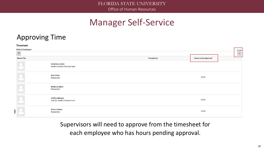#### Approving Time

| <b>Timesheet</b>                               |                                                    |            |                             |                                 |
|------------------------------------------------|----------------------------------------------------|------------|-----------------------------|---------------------------------|
| <b>Select Employee</b><br>$\blacktriangledown$ |                                                    |            |                             | 5 rows<br>$\uparrow \downarrow$ |
| Name/Title                                     |                                                    | Exceptions | <b>Hours to be Approved</b> |                                 |
| 12                                             | Anderson, Jamie<br>Health & Human Services Spec    |            |                             |                                 |
| $\boxed{2}$                                    | Kim, Chloe<br>Researcher                           |            | 40.50                       |                                 |
| $\overline{\mathcal{L}}$                       | <b>McMorris, Mark</b><br>Researcher                |            |                             |                                 |
|                                                | Shiffrin, Mikaela<br>Asst Dir, Health & Human Svcs |            | 40.00                       |                                 |
|                                                | Vonn, Lindsey<br>Researcher                        |            | 43.00                       |                                 |

Supervisors will need to approve from the timesheet for each employee who has hours pending approval.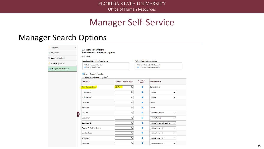#### Manager Search Options

| <b>Timesheet</b><br>$\mathcal{A}$ | <b>Manager Search Options</b>                                   |                                  |                                      |                                   |  |  |  |  |  |  |
|-----------------------------------|-----------------------------------------------------------------|----------------------------------|--------------------------------------|-----------------------------------|--|--|--|--|--|--|
| Payable Time                      | <b>Select Default Criteria and Options</b>                      |                                  |                                      |                                   |  |  |  |  |  |  |
| Leave / Comp Time                 | Shaun White                                                     |                                  |                                      |                                   |  |  |  |  |  |  |
| Manage Exceptions                 | <b>Loading of Matching Employees</b>                            |                                  | <b>Default Criteria Presentation</b> |                                   |  |  |  |  |  |  |
| Manager Search Options            | O Auto Populate Results<br><b>O</b> Prompt for Results          |                                  | ○ Show Criteria List Collapsed       | Show Criteria List Expanded       |  |  |  |  |  |  |
|                                   |                                                                 |                                  |                                      |                                   |  |  |  |  |  |  |
|                                   | Show Schedule Information<br>Employee Selection Criteria 2<br>▼ |                                  |                                      |                                   |  |  |  |  |  |  |
|                                   | <b>Description</b>                                              | <b>Selection Criterion Value</b> | Include in<br>Criteria               | *Include in List                  |  |  |  |  |  |  |
|                                   | Time Reporter Group                                             | 02476<br>Q                       | $\mathcal{L}$                        | Do Not Include                    |  |  |  |  |  |  |
|                                   | Employee ID                                                     | Q                                | $\mathbf{z}$                         | Include<br>$\checkmark$           |  |  |  |  |  |  |
|                                   | <b>Empl Record</b>                                              | Q                                | $\overline{\mathcal{L}}$             | Include<br>v                      |  |  |  |  |  |  |
|                                   | Last Name                                                       | Q                                | $\mathcal{L}$                        | Include                           |  |  |  |  |  |  |
|                                   | First Name                                                      | Q                                | $\overline{\mathcal{L}}$             | Include                           |  |  |  |  |  |  |
| Ш                                 | <b>Job Code</b>                                                 | $\alpha$                         | $\mathcal{S}$                        | Include Code Only<br>$\checkmark$ |  |  |  |  |  |  |
|                                   | Department                                                      | Q                                | $\overline{\mathbf{v}}$              | (Invalid Value)<br>v              |  |  |  |  |  |  |
|                                   | Supervisor ID                                                   | Q                                | $\mathcal{L}$                        | Include Code and Description<br>v |  |  |  |  |  |  |
|                                   | Reports To Position Number                                      | $\mathsf Q$                      | $\overline{\mathcal{L}}$             | Include Code Only<br>v            |  |  |  |  |  |  |
|                                   | <b>Location Code</b>                                            | $\mathsf Q$                      | $\overline{\mathbf{v}}$              | v<br>Include Code Only            |  |  |  |  |  |  |
|                                   | Workgroup                                                       | Q                                | $\mathbf{v}$                         | Include Code Only<br>$\checkmark$ |  |  |  |  |  |  |
|                                   | Taskgroup                                                       | $\mathsf{\alpha}$                | $\overline{\mathbf{v}}$              | Include Code Only<br>$\checkmark$ |  |  |  |  |  |  |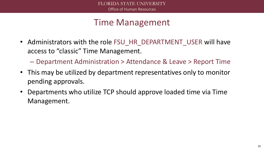#### Time Management

• Administrators with the role FSU\_HR\_DEPARTMENT\_USER will have access to "classic" Time Management.

– Department Administration > Attendance & Leave > Report Time

- This may be utilized by department representatives only to monitor pending approvals.
- Departments who utilize TCP should approve loaded time via Time Management.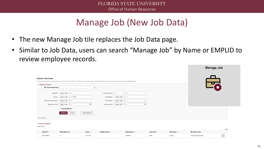#### Manage Job (New Job Data)

- The new Manage Job tile replaces the Job Data page.
- Similar to Job Data, users can search "Manage Job" by Name or EMPLID to review employee records.

| ▼ Search Criteria                   | If you are searching by Department, you must first enter "FSU01" in the Business Unit field before entering the Dept ID or click the prompt search button (magnifying glass). |                                                  |  |
|-------------------------------------|-------------------------------------------------------------------------------------------------------------------------------------------------------------------------------|--------------------------------------------------|--|
| <b>My Saved Searches</b>            | $\check{ }$                                                                                                                                                                   |                                                  |  |
|                                     | Empl ID begins with $\sim$                                                                                                                                                    | $Empl$ Record $=$<br>$\checkmark$                |  |
| Name                                | <b>FSU</b><br>begins with $\sim$                                                                                                                                              | Last Name begins with $\vee$                     |  |
| Second Last Name begins with $\vee$ |                                                                                                                                                                               | HR Status   begins with $\sqrt{}$<br>$\check{ }$ |  |
|                                     | $\alpha$<br>Business Unit begins with $\sim$                                                                                                                                  | $\alpha$<br>Department begins with $\sim$        |  |

Search Results

Name:FSU

|                    |                        |               |                    |                              |             |                    |                            | <b>I</b> TOW |
|--------------------|------------------------|---------------|--------------------|------------------------------|-------------|--------------------|----------------------------|--------------|
| Empl ID $\diamond$ | Empl Record $\Diamond$ | Name <        | <b>Middle Name</b> | <b>Department</b> $\Diamond$ | Job Code <́ | <b>HR Status ©</b> | <b>Business Title &lt;</b> |              |
| 000114682          |                        | <b>FSU HR</b> |                    | 202000                       | 4250        | Active             | າ Associat∈                |              |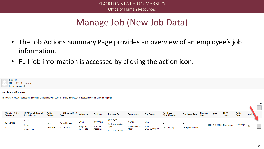# Manage Job (New Job Data)

- The Job Actions Summary Page provides an overview of an employee's job information.
- Full job information is accessed by clicking the action icon.

| <b>FSUMK</b><br>000114682 - 0 - Employee<br>Program Associate |                                                                                                                                                                      |                    |                                         |                              |                                  |                                                                        |                                   |                                   |                                   |                              |                                 |            |                              |                                       |                                         |
|---------------------------------------------------------------|----------------------------------------------------------------------------------------------------------------------------------------------------------------------|--------------------|-----------------------------------------|------------------------------|----------------------------------|------------------------------------------------------------------------|-----------------------------------|-----------------------------------|-----------------------------------|------------------------------|---------------------------------|------------|------------------------------|---------------------------------------|-----------------------------------------|
| <b>Job Actions Summary</b>                                    |                                                                                                                                                                      |                    |                                         |                              |                                  |                                                                        |                                   |                                   |                                   |                              |                                 |            |                              |                                       |                                         |
| <b>Effective Date</b><br><b>Sequence</b>                      | To view all job rows, access this page in Include History or Correct History mode (select access modes on the Search page)<br>HR / Payroll Status /<br>Job Indicator | Action /<br>Reason | <b>Last Updated By /</b><br><b>Date</b> | <b>Job Code</b>              | <b>Position</b>                  | <b>Reports To</b>                                                      | <b>Department</b>                 | <b>Pay Group</b>                  | <b>Employee</b><br>Classification | <b>Employee Type</b>         | <b>Standard</b><br><b>Hours</b> | <b>FTE</b> | <b>FLSA</b><br><b>Status</b> | <b>Action</b><br>Date                 | 1 row<br>$\mathcal{L}$<br><b>Action</b> |
| 02/15/2022<br>0                                               | Active<br>Active<br>Primary Job                                                                                                                                      | Hire<br>New Hire   | Abigail Lejeune<br>03/23/2022           | 4250<br>Program<br>Associate | 00056900<br>Program<br>Associate | 00057971<br><b>Sr Administrative</b><br><b>Spec</b><br>Rebecca Garside | 202000<br>Med Academic<br>Affairs | <b>NLW</b><br>NON-<br>LAW/UEU/UNU | $\overline{2}$<br>Probationary    | E<br><b>Exception Hourly</b> |                                 |            |                              | 40.00 1.000000 Nonexempt 03/23/2022 @ | $\sim$                                  |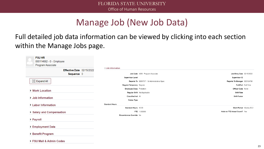# Manage Job (New Job Data)

#### Full detailed job data information can be viewed by clicking into each section within the Manage Jobs page.

| <b>FSU HR</b><br>000114682 - 0 - Employee<br>Program Associate |                                            |                               |
|----------------------------------------------------------------|--------------------------------------------|-------------------------------|
| Effective Date 02/15/2022                                      | ▼ Job Information                          |                               |
| Sequence 0                                                     | Job Code 4250 Program Associate            | Job Entry Date 02/15/2022     |
|                                                                | <b>Supervisor Level</b>                    | Supervisor ID                 |
| $\frac{\kappa \pi}{\kappa}$ Expand All                         | Reports To 00057971 Sr Administrative Spec | Reports To Manager 000104756  |
|                                                                | Regular/Temporary Regular                  | Full/Part Full-Time           |
| ▶ Work Location                                                | Employee Class Probation                   | Officer Code None             |
|                                                                | Regular Shift Not Applicable               | <b>Shift Rate</b>             |
| ▶ Job Information                                              | Classified Ind All                         | <b>Shift Factor</b>           |
|                                                                | Duties Type                                |                               |
| ▶ Labor Information                                            | <b>Standard Hours</b>                      |                               |
|                                                                | Standard Hours 40.00                       | Work Period Weekly 52.2       |
| ▶ Salary and Compensation                                      | FTE 1.000000                               | Adds to FTE Actual Count? Yes |
| ▶ Payroll                                                      | Encumbrance Override No                    |                               |
| ▶ Employment Data                                              |                                            |                               |
| ▶ Benefit Program                                              |                                            |                               |
| ▶ FSU Mail & Admin Codes                                       |                                            |                               |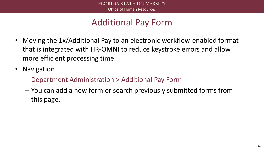# Additional Pay Form

- Moving the 1x/Additional Pay to an electronic workflow-enabled format that is integrated with HR-OMNI to reduce keystroke errors and allow more efficient processing time.
- Navigation
	- Department Administration > Additional Pay Form
	- You can add a new form or search previously submitted forms from this page.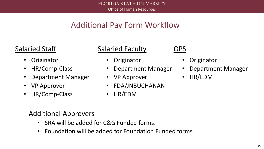#### Additional Pay Form Workflow

#### Salaried Staff

- **Originator**
- HR/Comp-Class
- Department Manager
- VP Approver
- HR/Comp-Class

#### Salaried Faculty

- **Originator**
- Department Manager
- VP Approver
- FDA/JNBUCHANAN
- HR/EDM

#### OPS

- **Originator**
- Department Manager
- HR/EDM

#### Additional Approvers

- SRA will be added for C&G Funded forms.
- Foundation will be added for Foundation Funded forms.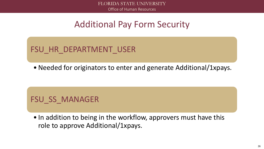#### Additional Pay Form Security

FSU HR\_DEPARTMENT\_USER

• Needed for originators to enter and generate Additional/1xpays.

#### FSU SS MANAGER

• In addition to being in the workflow, approvers must have this role to approve Additional/1xpays.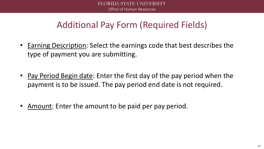# Additional Pay Form (Required Fields)

- Earning Description: Select the earnings code that best describes the type of payment you are submitting.
- Pay Period Begin date: Enter the first day of the pay period when the payment is to be issued. The pay period end date is not required.
- Amount: Enter the amount to be paid per pay period.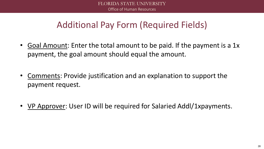# Additional Pay Form (Required Fields)

- Goal Amount: Enter the total amount to be paid. If the payment is a 1x payment, the goal amount should equal the amount.
- Comments: Provide justification and an explanation to support the payment request.
- VP Approver: User ID will be required for Salaried Addl/1xpayments.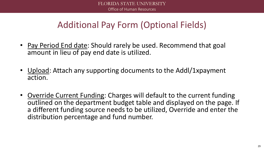# Additional Pay Form (Optional Fields)

- Pay Period End date: Should rarely be used. Recommend that goal amount in lieu of pay end date is utilized.
- Upload: Attach any supporting documents to the Addl/1xpayment action.
- Override Current Funding: Charges will default to the current funding outlined on the department budget table and displayed on the page. If a different funding source needs to be utilized, Override and enter the distribution percentage and fund number.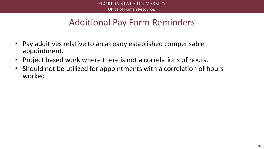# Additional Pay Form Reminders

- Pay additives relative to an already established compensable appointment.
- Project based work where there is not a correlations of hours.
- Should not be utilized for appointments with a correlation of hours worked.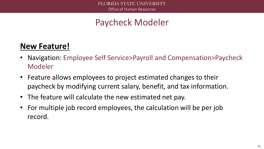# Paycheck Modeler

#### **New Feature!**

- Navigation: Employee Self Service>Payroll and Compensation>Paycheck Modeler
- Feature allows employees to project estimated changes to their paycheck by modifying current salary, benefit, and tax information.
- The feature will calculate the new estimated net pay.
- For multiple job record employees, the calculation will be per job record.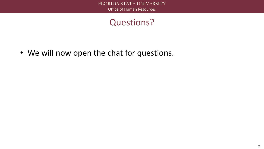#### Questions?

• We will now open the chat for questions.